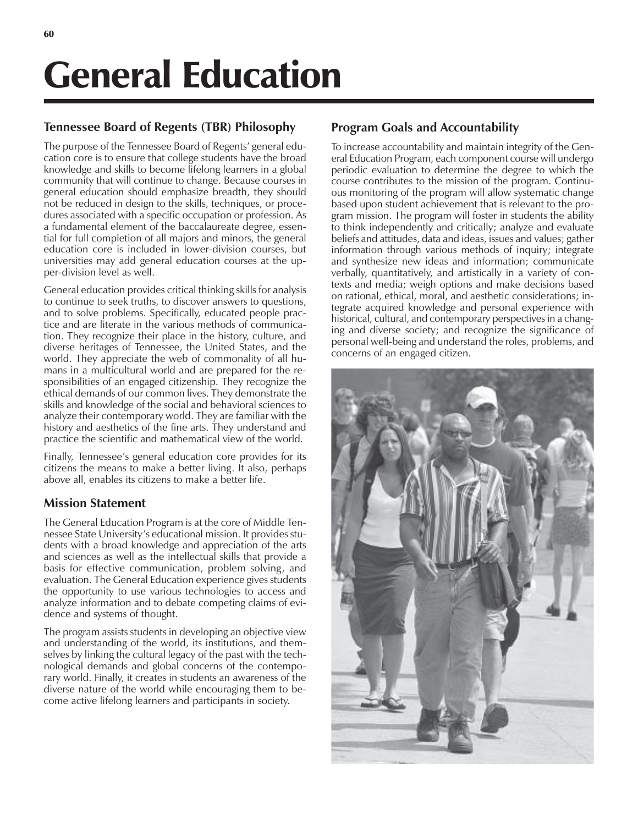# General Education

#### **Tennessee Board of Regents (TBR) Philosophy**

The purpose of the Tennessee Board of Regents' general education core is to ensure that college students have the broad knowledge and skills to become lifelong learners in a global community that will continue to change. Because courses in general education should emphasize breadth, they should not be reduced in design to the skills, techniques, or procedures associated with a specific occupation or profession. As a fundamental element of the baccalaureate degree, essential for full completion of all majors and minors, the general education core is included in lower-division courses, but universities may add general education courses at the upper-division level as well.

General education provides critical thinking skills for analysis to continue to seek truths, to discover answers to questions, and to solve problems. Specifically, educated people practice and are literate in the various methods of communication. They recognize their place in the history, culture, and diverse heritages of Tennessee, the United States, and the world. They appreciate the web of commonality of all humans in a multicultural world and are prepared for the responsibilities of an engaged citizenship. They recognize the ethical demands of our common lives. They demonstrate the skills and knowledge of the social and behavioral sciences to analyze their contemporary world. They are familiar with the history and aesthetics of the fine arts. They understand and practice the scientific and mathematical view of the world.

Finally, Tennessee's general education core provides for its citizens the means to make a better living. It also, perhaps above all, enables its citizens to make a better life.

#### **Mission Statement**

The General Education Program is at the core of Middle Tennessee State University's educational mission. It provides students with a broad knowledge and appreciation of the arts and sciences as well as the intellectual skills that provide a basis for effective communication, problem solving, and evaluation. The General Education experience gives students the opportunity to use various technologies to access and analyze information and to debate competing claims of evidence and systems of thought.

The program assists students in developing an objective view and understanding of the world, its institutions, and themselves by linking the cultural legacy of the past with the technological demands and global concerns of the contemporary world. Finally, it creates in students an awareness of the diverse nature of the world while encouraging them to become active lifelong learners and participants in society.

## **Program Goals and Accountability**

To increase accountability and maintain integrity of the General Education Program, each component course will undergo periodic evaluation to determine the degree to which the course contributes to the mission of the program. Continuous monitoring of the program will allow systematic change based upon student achievement that is relevant to the program mission. The program will foster in students the ability to think independently and critically; analyze and evaluate beliefs and attitudes, data and ideas, issues and values; gather information through various methods of inquiry; integrate and synthesize new ideas and information; communicate verbally, quantitatively, and artistically in a variety of contexts and media; weigh options and make decisions based on rational, ethical, moral, and aesthetic considerations; integrate acquired knowledge and personal experience with historical, cultural, and contemporary perspectives in a changing and diverse society; and recognize the significance of personal well-being and understand the roles, problems, and concerns of an engaged citizen.

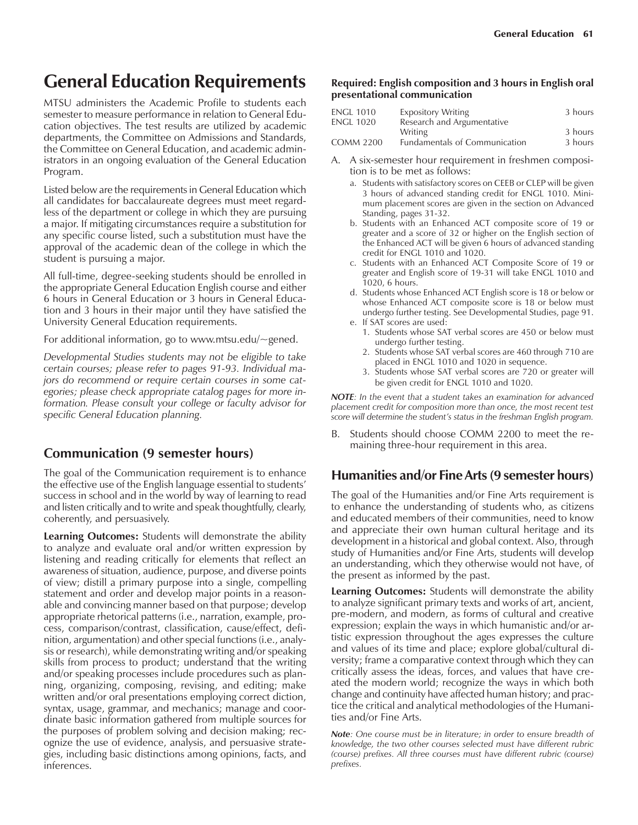## **General Education Requirements**

MTSU administers the Academic Profile to students each semester to measure performance in relation to General Education objectives. The test results are utilized by academic departments, the Committee on Admissions and Standards, the Committee on General Education, and academic administrators in an ongoing evaluation of the General Education Program.

Listed below are the requirements in General Education which all candidates for baccalaureate degrees must meet regardless of the department or college in which they are pursuing a major. If mitigating circumstances require a substitution for any specific course listed, such a substitution must have the approval of the academic dean of the college in which the student is pursuing a major.

All full-time, degree-seeking students should be enrolled in the appropriate General Education English course and either 6 hours in General Education or 3 hours in General Education and 3 hours in their major until they have satisfied the University General Education requirements.

For additional information, go to www.mtsu.edu/~gened.

*Developmental Studies students may not be eligible to take certain courses; please refer to pages 91-93. Individual majors do recommend or require certain courses in some categories; please check appropriate catalog pages for more information. Please consult your college or faculty advisor for specific General Education planning.*

#### **Communication (9 semester hours)**

The goal of the Communication requirement is to enhance the effective use of the English language essential to students' success in school and in the world by way of learning to read and listen critically and to write and speak thoughtfully, clearly, coherently, and persuasively.

**Learning Outcomes:** Students will demonstrate the ability to analyze and evaluate oral and/or written expression by listening and reading critically for elements that reflect an awareness of situation, audience, purpose, and diverse points of view; distill a primary purpose into a single, compelling statement and order and develop major points in a reasonable and convincing manner based on that purpose; develop appropriate rhetorical patterns (i.e., narration, example, process, comparison/contrast, classification, cause/effect, definition, argumentation) and other special functions (i.e., analysis or research), while demonstrating writing and/or speaking skills from process to product; understand that the writing and/or speaking processes include procedures such as planning, organizing, composing, revising, and editing; make written and/or oral presentations employing correct diction, syntax, usage, grammar, and mechanics; manage and coordinate basic information gathered from multiple sources for the purposes of problem solving and decision making; recognize the use of evidence, analysis, and persuasive strategies, including basic distinctions among opinions, facts, and inferences.

#### **Required: English composition and 3 hours in English oral presentational communication**

| <b>ENGL 1010</b> | <b>Expository Writing</b>            | 3 hours |
|------------------|--------------------------------------|---------|
| <b>ENGL 1020</b> | Research and Argumentative           |         |
|                  | <b>Writing</b>                       | 3 hours |
| <b>COMM 2200</b> | <b>Eundamentals of Communication</b> | 3 hours |

- A. A six-semester hour requirement in freshmen composition is to be met as follows:
	- a. Students with satisfactory scores on CEEB or CLEP will be given 3 hours of advanced standing credit for ENGL 1010. Minimum placement scores are given in the section on Advanced Standing, pages 31-32.
	- b. Students with an Enhanced ACT composite score of 19 or greater and a score of 32 or higher on the English section of the Enhanced ACT will be given 6 hours of advanced standing credit for ENGL 1010 and 1020.
	- c. Students with an Enhanced ACT Composite Score of 19 or greater and English score of 19-31 will take ENGL 1010 and 1020, 6 hours.
	- d. Students whose Enhanced ACT English score is 18 or below or whose Enhanced ACT composite score is 18 or below must undergo further testing. See Developmental Studies, page 91. e. If SAT scores are used:
		- 1. Students whose SAT verbal scores are 450 or below must undergo further testing.
		- 2. Students whose SAT verbal scores are 460 through 710 are placed in ENGL 1010 and 1020 in sequence.
		- 3. Students whose SAT verbal scores are 720 or greater will be given credit for ENGL 1010 and 1020.

*NOTE: In the event that a student takes an examination for advanced placement credit for composition more than once, the most recent test score will determine the studentís status in the freshman English program.*

B. Students should choose COMM 2200 to meet the remaining three-hour requirement in this area.

### **Humanities and/or Fine Arts (9 semester hours)**

The goal of the Humanities and/or Fine Arts requirement is to enhance the understanding of students who, as citizens and educated members of their communities, need to know and appreciate their own human cultural heritage and its development in a historical and global context. Also, through study of Humanities and*/*or Fine Arts, students will develop an understanding, which they otherwise would not have, of the present as informed by the past.

**Learning Outcomes:** Students will demonstrate the ability to analyze significant primary texts and works of art, ancient, pre-modern, and modern, as forms of cultural and creative expression; explain the ways in which humanistic and/or artistic expression throughout the ages expresses the culture and values of its time and place; explore global/cultural diversity; frame a comparative context through which they can critically assess the ideas, forces, and values that have created the modern world; recognize the ways in which both change and continuity have affected human history; and practice the critical and analytical methodologies of the Humanities and/or Fine Arts.

*Note: One course must be in literature; in order to ensure breadth of knowledge, the two other courses selected must have different rubric (course) prefixes. All three courses must have different rubric (course) prefixes.*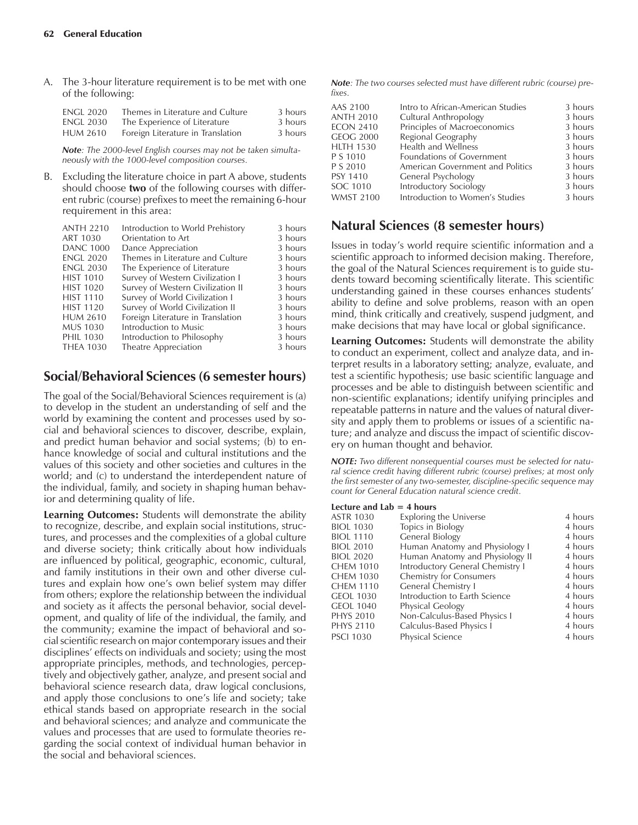A. The 3-hour literature requirement is to be met with one of the following:

| <b>ENGL 2020</b> | Themes in Literature and Culture  | 3 hours |
|------------------|-----------------------------------|---------|
| <b>ENGL 2030</b> | The Experience of Literature      | 3 hours |
| <b>HUM 2610</b>  | Foreign Literature in Translation | 3 hours |

*Note: The 2000-level English courses may not be taken simultaneously with the 1000-level composition courses.*

B. Excluding the literature choice in part A above, students should choose **two** of the following courses with different rubric (course) prefixes to meet the remaining 6-hour requirement in this area:

|                                   | 3 hours                          |
|-----------------------------------|----------------------------------|
| Orientation to Art                | 3 hours                          |
| Dance Appreciation                | 3 hours                          |
| Themes in Literature and Culture  | 3 hours                          |
| The Experience of Literature      | 3 hours                          |
| Survey of Western Civilization I  | 3 hours                          |
| Survey of Western Civilization II | 3 hours                          |
| Survey of World Civilization I    | 3 hours                          |
| Survey of World Civilization II   | 3 hours                          |
| Foreign Literature in Translation | 3 hours                          |
| Introduction to Music             | 3 hours                          |
| Introduction to Philosophy        | 3 hours                          |
| Theatre Appreciation              | 3 hours                          |
|                                   | Introduction to World Prehistory |

#### **Social/Behavioral Sciences (6 semester hours)**

The goal of the Social/Behavioral Sciences requirement is (a) to develop in the student an understanding of self and the world by examining the content and processes used by social and behavioral sciences to discover, describe, explain, and predict human behavior and social systems; (b) to enhance knowledge of social and cultural institutions and the values of this society and other societies and cultures in the world; and (c) to understand the interdependent nature of the individual, family, and society in shaping human behavior and determining quality of life.

**Learning Outcomes:** Students will demonstrate the ability to recognize, describe, and explain social institutions, structures, and processes and the complexities of a global culture and diverse society; think critically about how individuals are influenced by political, geographic, economic, cultural, and family institutions in their own and other diverse cultures and explain how one's own belief system may differ from others; explore the relationship between the individual and society as it affects the personal behavior, social development, and quality of life of the individual, the family, and the community; examine the impact of behavioral and social scientific research on major contemporary issues and their disciplines' effects on individuals and society; using the most appropriate principles, methods, and technologies, perceptively and objectively gather, analyze, and present social and behavioral science research data, draw logical conclusions, and apply those conclusions to one's life and society; take ethical stands based on appropriate research in the social and behavioral sciences; and analyze and communicate the values and processes that are used to formulate theories regarding the social context of individual human behavior in the social and behavioral sciences.

*Note: The two courses selected must have different rubric (course) prefixes.*

| AAS 2100         | Intro to African-American Studies | 3 hours |
|------------------|-----------------------------------|---------|
| <b>ANTH 2010</b> | Cultural Anthropology             | 3 hours |
| <b>ECON 2410</b> | Principles of Macroeconomics      | 3 hours |
| <b>GEOG 2000</b> | Regional Geography                | 3 hours |
| <b>HLTH 1530</b> | Health and Wellness               | 3 hours |
| P S 1010         | Foundations of Government         | 3 hours |
| P S 2010         | American Government and Politics  | 3 hours |
| <b>PSY 1410</b>  | General Psychology                | 3 hours |
| SOC 1010         | Introductory Sociology            | 3 hours |
| <b>WMST 2100</b> | Introduction to Women's Studies   | 3 hours |
|                  |                                   |         |

#### **Natural Sciences (8 semester hours)**

Issues in todayís world require scientific information and a scientific approach to informed decision making. Therefore, the goal of the Natural Sciences requirement is to guide students toward becoming scientifically literate. This scientific understanding gained in these courses enhances students' ability to define and solve problems, reason with an open mind, think critically and creatively, suspend judgment, and make decisions that may have local or global significance.

**Learning Outcomes:** Students will demonstrate the ability to conduct an experiment, collect and analyze data, and interpret results in a laboratory setting; analyze, evaluate, and test a scientific hypothesis; use basic scientific language and processes and be able to distinguish between scientific and non-scientific explanations; identify unifying principles and repeatable patterns in nature and the values of natural diversity and apply them to problems or issues of a scientific nature; and analyze and discuss the impact of scientific discovery on human thought and behavior.

*NOTE: Two different nonsequential courses must be selected for natural science credit having different rubric (course) prefixes; at most only the first semester of any two-semester, discipline-specific sequence may count for General Education natural science credit.*

#### **Lecture and Lab = 4 hours**

| <b>ASTR 1030</b> | <b>Exploring the Universe</b>    | 4 hours |
|------------------|----------------------------------|---------|
| <b>BIOL 1030</b> | Topics in Biology                | 4 hours |
| <b>BIOL 1110</b> | <b>General Biology</b>           | 4 hours |
| <b>BIOL 2010</b> | Human Anatomy and Physiology I   | 4 hours |
| <b>BIOL 2020</b> | Human Anatomy and Physiology II  | 4 hours |
| CHEM 1010        | Introductory General Chemistry I | 4 hours |
| CHEM 1030        | <b>Chemistry for Consumers</b>   | 4 hours |
| CHEM 1110        | <b>General Chemistry I</b>       | 4 hours |
| GEOL 1030        | Introduction to Earth Science    | 4 hours |
| <b>GEOL 1040</b> | Physical Geology                 | 4 hours |
| <b>PHYS 2010</b> | Non-Calculus-Based Physics I     | 4 hours |
| PHYS 2110        | Calculus-Based Physics I         | 4 hours |
| <b>PSCI 1030</b> | Physical Science                 | 4 hours |
|                  |                                  |         |